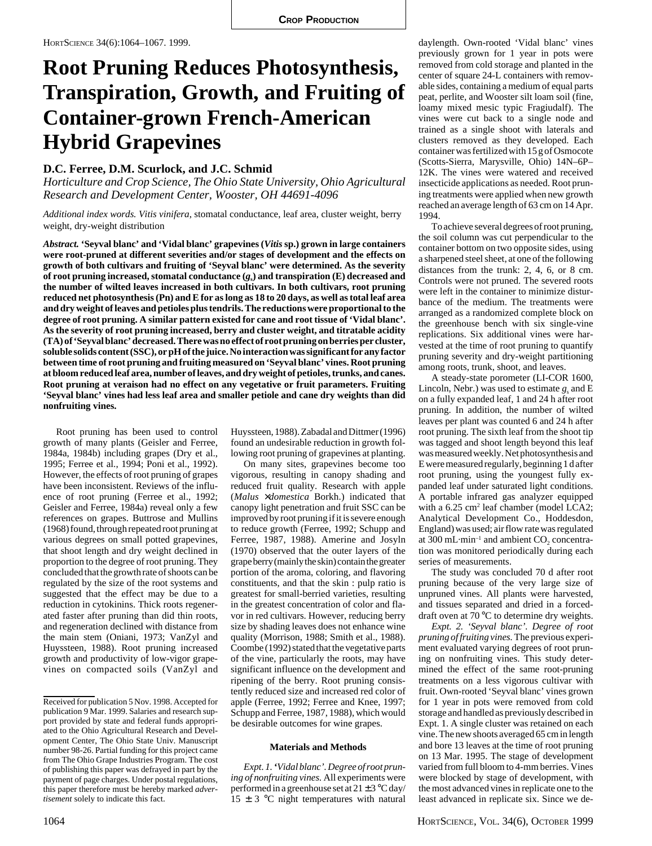# **Root Pruning Reduces Photosynthesis, Transpiration, Growth, and Fruiting of Container-grown French-American Hybrid Grapevines**

## **D.C. Ferree, D.M. Scurlock, and J.C. Schmid**

*Horticulture and Crop Science, The Ohio State University, Ohio Agricultural Research and Development Center, Wooster, OH 44691-4096*

*Additional index words. Vitis vinifera*, stomatal conductance, leaf area, cluster weight, berry weight, dry-weight distribution

*Abstract.* **'Seyval blanc' and 'Vidal blanc' grapevines (***Vitis* **sp.) grown in large containers were root-pruned at different severities and/or stages of development and the effects on growth of both cultivars and fruiting of 'Seyval blanc' were determined. As the severity** of root pruning increased, stomatal conductance  $(g_s)$  and transpiration  $(E)$  decreased and **the number of wilted leaves increased in both cultivars. In both cultivars, root pruning reduced net photosynthesis (Pn) and E for as long as 18 to 20 days, as well as total leaf area and dry weight of leaves and petioles plus tendrils. The reductions were proportional to the degree of root pruning. A similar pattern existed for cane and root tissue of 'Vidal blanc'. As the severity of root pruning increased, berry and cluster weight, and titratable acidity (TA) of 'Seyval blanc' decreased. There was no effect of root pruning on berries per cluster, soluble solids content (SSC), or pH of the juice. No interaction was significant for any factor between time of root pruning and fruiting measured on 'Seyval blanc' vines. Root pruning at bloom reduced leaf area, number of leaves, and dry weight of petioles, trunks, and canes. Root pruning at veraison had no effect on any vegetative or fruit parameters. Fruiting 'Seyval blanc' vines had less leaf area and smaller petiole and cane dry weights than did nonfruiting vines.**

Root pruning has been used to control growth of many plants (Geisler and Ferree, 1984a, 1984b) including grapes (Dry et al., 1995; Ferree et al., 1994; Poni et al., 1992). However, the effects of root pruning of grapes have been inconsistent. Reviews of the influence of root pruning (Ferree et al., 1992; Geisler and Ferree, 1984a) reveal only a few references on grapes. Buttrose and Mullins (1968) found, through repeated root pruning at various degrees on small potted grapevines, that shoot length and dry weight declined in proportion to the degree of root pruning. They concluded that the growth rate of shoots can be regulated by the size of the root systems and suggested that the effect may be due to a reduction in cytokinins. Thick roots regenerated faster after pruning than did thin roots, and regeneration declined with distance from the main stem (Oniani, 1973; VanZyl and Huyssteen, 1988). Root pruning increased growth and productivity of low-vigor grapevines on compacted soils (VanZyl and Huyssteen, 1988). Zabadal and Dittmer (1996) found an undesirable reduction in growth following root pruning of grapevines at planting.

On many sites, grapevines become too vigorous, resulting in canopy shading and reduced fruit quality. Research with apple (*Malus* ×*domestica* Borkh.) indicated that canopy light penetration and fruit SSC can be improved by root pruning if it is severe enough to reduce growth (Ferree, 1992; Schupp and Ferree, 1987, 1988). Amerine and Josyln (1970) observed that the outer layers of the grape berry (mainly the skin) contain the greater portion of the aroma, coloring, and flavoring constituents, and that the skin : pulp ratio is greatest for small-berried varieties, resulting in the greatest concentration of color and flavor in red cultivars. However, reducing berry size by shading leaves does not enhance wine quality (Morrison, 1988; Smith et al., 1988). Coombe (1992) stated that the vegetative parts of the vine, particularly the roots, may have significant influence on the development and ripening of the berry. Root pruning consistently reduced size and increased red color of apple (Ferree, 1992; Ferree and Knee, 1997; Schupp and Ferree, 1987, 1988), which would be desirable outcomes for wine grapes.

### **Materials and Methods**

*Expt. 1. 'Vidal blanc'. Degree of root pruning of nonfruiting vines.* All experiments were performed in a greenhouse set at  $21 \pm 3^{\circ}$ C day/  $15 \pm 3$  °C night temperatures with natural

daylength. Own-rooted 'Vidal blanc' vines previously grown for 1 year in pots were removed from cold storage and planted in the center of square 24-L containers with removable sides, containing a medium of equal parts peat, perlite, and Wooster silt loam soil (fine, loamy mixed mesic typic Fragiudalf). The vines were cut back to a single node and trained as a single shoot with laterals and clusters removed as they developed. Each container was fertilized with 15 g of Osmocote (Scotts-Sierra, Marysville, Ohio) 14N–6P– 12K. The vines were watered and received insecticide applications as needed. Root pruning treatments were applied when new growth reached an average length of 63 cm on 14 Apr. 1994.

To achieve several degrees of root pruning, the soil column was cut perpendicular to the container bottom on two opposite sides, using a sharpened steel sheet, at one of the following distances from the trunk: 2, 4, 6, or 8 cm. Controls were not pruned. The severed roots were left in the container to minimize disturbance of the medium. The treatments were arranged as a randomized complete block on the greenhouse bench with six single-vine replications. Six additional vines were harvested at the time of root pruning to quantify pruning severity and dry-weight partitioning among roots, trunk, shoot, and leaves.

A steady-state porometer (LI-COR 1600, Lincoln, Nebr.) was used to estimate  $g_s$  and E on a fully expanded leaf, 1 and 24 h after root pruning. In addition, the number of wilted leaves per plant was counted 6 and 24 h after root pruning. The sixth leaf from the shoot tip was tagged and shoot length beyond this leaf was measured weekly. Net photosynthesis and E were measured regularly, beginning 1 d after root pruning, using the youngest fully expanded leaf under saturated light conditions. A portable infrared gas analyzer equipped with a 6.25 cm<sup>2</sup> leaf chamber (model LCA2; Analytical Development Co., Hoddesdon, England) was used; air flow rate was regulated at 300 mL $\cdot$ min<sup>-1</sup> and ambient CO<sub>2</sub> concentration was monitored periodically during each series of measurements.

The study was concluded 70 d after root pruning because of the very large size of unpruned vines. All plants were harvested, and tissues separated and dried in a forceddraft oven at 70 °C to determine dry weights.

*Expt. 2. 'Seyval blanc'. Degree of root pruning of fruiting vines.* The previous experiment evaluated varying degrees of root pruning on nonfruiting vines. This study determined the effect of the same root-pruning treatments on a less vigorous cultivar with fruit. Own-rooted 'Seyval blanc' vines grown for 1 year in pots were removed from cold storage and handled as previously described in Expt. 1. A single cluster was retained on each vine. The new shoots averaged 65 cm in length and bore 13 leaves at the time of root pruning on 13 Mar. 1995. The stage of development varied from full bloom to 4-mm berries. Vines were blocked by stage of development, with the most advanced vines in replicate one to the least advanced in replicate six. Since we de-

Received for publication 5 Nov. 1998. Accepted for publication 9 Mar. 1999. Salaries and research support provided by state and federal funds appropriated to the Ohio Agricultural Research and Development Center, The Ohio State Univ. Manuscript number 98-26. Partial funding for this project came from The Ohio Grape Industries Program. The cost of publishing this paper was defrayed in part by the payment of page charges. Under postal regulations, this paper therefore must be hereby marked *advertisement* solely to indicate this fact.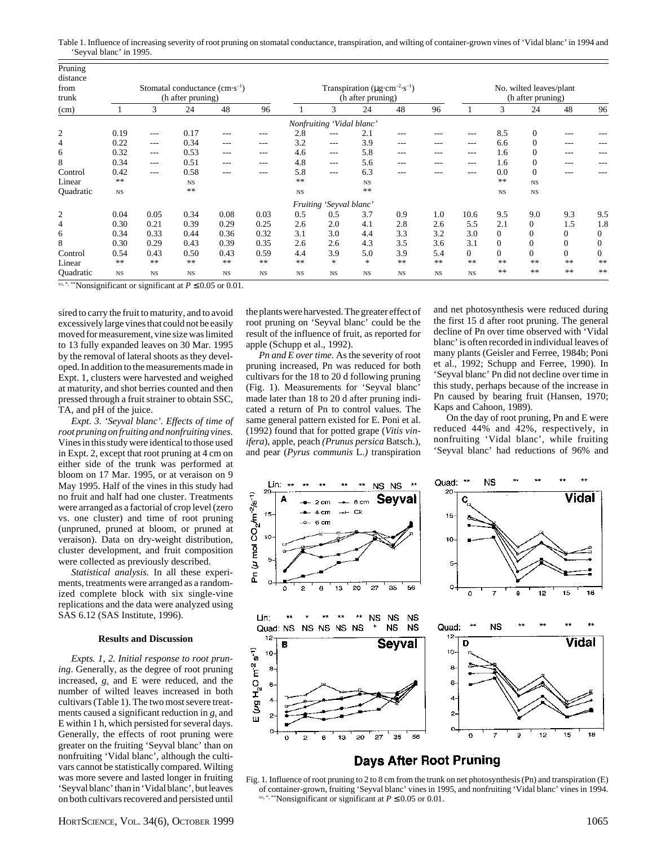Table 1. Influence of increasing severity of root pruning on stomatal conductance, transpiration, and wilting of container-grown vines of 'Vidal blanc' in 1994 and 'Seyval blanc' in 1995.

| Pruning                   |           |           |                                                         |           |                                                                                  |           |                           |           |           |           |                                              |                |                |          |               |
|---------------------------|-----------|-----------|---------------------------------------------------------|-----------|----------------------------------------------------------------------------------|-----------|---------------------------|-----------|-----------|-----------|----------------------------------------------|----------------|----------------|----------|---------------|
| distance<br>from<br>trunk |           |           | Stomatal conductance $(cm·s^{-1})$<br>(h after pruning) |           | Transpiration ( $\mu$ g·cm <sup>-2</sup> ·s <sup>-1</sup> )<br>(h after pruning) |           |                           |           |           |           | No. wilted leaves/plant<br>(h after pruning) |                |                |          |               |
| (cm)                      |           | 3         | 24                                                      | 48        | 96                                                                               |           | 3                         | 24        | 48        | 96        |                                              | 3              | 24             | 48       | 96            |
|                           |           |           |                                                         |           |                                                                                  |           | Nonfruiting 'Vidal blanc' |           |           |           |                                              |                |                |          |               |
| $\overline{c}$            | 0.19      | ---       | 0.17                                                    | $---$     | $---$                                                                            | 2.8       | $---$                     | 2.1       | ---       | ---       | $---$                                        | 8.5            | $\theta$       | ---      |               |
| 4                         | 0.22      | $---$     | 0.34                                                    | $- - -$   | $- - -$                                                                          | 3.2       | $---$                     | 3.9       | $---$     | $- - -$   | $---$                                        | 6.6            | $\Omega$       | $- - -$  |               |
| 6                         | 0.32      | $---$     | 0.53                                                    | $- - -$   | $---$                                                                            | 4.6       | $---$                     | 5.8       | $---$     | $---$     | $---$                                        | 1.6            | $\theta$       | $---$    |               |
| 8                         | 0.34      | $---$     | 0.51                                                    | ---       | $---$                                                                            | 4.8       | $---$                     | 5.6       | ---       | ---       | $---$                                        | 1.6            | $\Omega$       | $---$    |               |
| Control                   | 0.42      | $---$     | 0.58                                                    | $---$     | $---$                                                                            | 5.8       | $---$                     | 6.3       | $---$     | $---$     | $---$                                        | 0.0            | $\Omega$       | $---$    |               |
| Linear                    | **        |           | <b>NS</b>                                               |           |                                                                                  | **        |                           | <b>NS</b> |           |           |                                              | **             | <b>NS</b>      |          |               |
| Quadratic                 | <b>NS</b> |           | $\ast$ $\ast$                                           |           |                                                                                  | <b>NS</b> |                           | **        |           |           |                                              | <b>NS</b>      | <b>NS</b>      |          |               |
|                           |           |           |                                                         |           |                                                                                  |           | Fruiting 'Seyval blanc'   |           |           |           |                                              |                |                |          |               |
| 2                         | 0.04      | 0.05      | 0.34                                                    | 0.08      | 0.03                                                                             | 0.5       | 0.5                       | 3.7       | 0.9       | 1.0       | 10.6                                         | 9.5            | 9.0            | 9.3      | 9.5           |
| 4                         | 0.30      | 0.21      | 0.39                                                    | 0.29      | 0.25                                                                             | 2.6       | 2.0                       | 4.1       | 2.8       | 2.6       | 5.5                                          | 2.1            | $\overline{0}$ | 1.5      | 1.8           |
| 6                         | 0.34      | 0.33      | 0.44                                                    | 0.36      | 0.32                                                                             | 3.1       | 3.0                       | 4.4       | 3.3       | 3.2       | 3.0                                          | $\overline{0}$ | $\theta$       | $\Omega$ | $\theta$      |
| 8                         | 0.30      | 0.29      | 0.43                                                    | 0.39      | 0.35                                                                             | 2.6       | 2.6                       | 4.3       | 3.5       | 3.6       | 3.1                                          | $\theta$       | $\mathbf{0}$   | $\Omega$ | $\theta$      |
| Control                   | 0.54      | 0.43      | 0.50                                                    | 0.43      | 0.59                                                                             | 4.4       | 3.9                       | 5.0       | 3.9       | 5.4       | $\overline{0}$                               | $\overline{0}$ | $\Omega$       | $\Omega$ | $\theta$      |
| Linear                    | **        | **        | **                                                      | $**$      | **                                                                               | **        | $*$                       | $*$       | $**$      | **        | **                                           | **             | **             | **       | $\ast$ $\ast$ |
| Quadratic                 | $_{NS}$   | <b>NS</b> | $_{NS}$                                                 | <b>NS</b> | <b>NS</b>                                                                        | <b>NS</b> | <b>NS</b>                 | $_{NS}$   | <b>NS</b> | <b>NS</b> | <b>NS</b>                                    | **             | **             | **       | $**$          |

<sup>NS, \*, \*\*</sup>Nonsignificant or significant at  $P \le 0.05$  or 0.01.

sired to carry the fruit to maturity, and to avoid excessively large vines that could not be easily moved for measurement, vine size was limited to 13 fully expanded leaves on 30 Mar. 1995 by the removal of lateral shoots as they developed. In addition to the measurements made in Expt. 1, clusters were harvested and weighed at maturity, and shot berries counted and then pressed through a fruit strainer to obtain SSC, TA, and pH of the juice.

*Expt. 3. 'Seyval blanc'. Effects of time of root pruning on fruiting and nonfruiting vines.* Vines in this study were identical to those used in Expt. 2, except that root pruning at 4 cm on either side of the trunk was performed at bloom on 17 Mar. 1995, or at veraison on 9 May 1995. Half of the vines in this study had no fruit and half had one cluster. Treatments were arranged as a factorial of crop level (zero vs. one cluster) and time of root pruning (unpruned, pruned at bloom, or pruned at veraison). Data on dry-weight distribution, cluster development, and fruit composition were collected as previously described.

*Statistical analysis.* In all these experiments, treatments were arranged as a randomized complete block with six single-vine replications and the data were analyzed using SAS 6.12 (SAS Institute, 1996).

### **Results and Discussion**

*Expts. 1, 2. Initial response to root pruning*. Generally, as the degree of root pruning increased, *g*s and E were reduced, and the number of wilted leaves increased in both cultivars (Table 1). The two most severe treatments caused a significant reduction in  $g_s$  and E within 1 h, which persisted for several days. Generally, the effects of root pruning were greater on the fruiting 'Seyval blanc' than on nonfruiting 'Vidal blanc', although the cultivars cannot be statistically compared. Wilting was more severe and lasted longer in fruiting 'Seyval blanc' than in 'Vidal blanc', but leaves on both cultivars recovered and persisted until the plants were harvested. The greater effect of root pruning on 'Seyval blanc' could be the result of the influence of fruit, as reported for apple (Schupp et al., 1992).

*Pn and E over time.* As the severity of root pruning increased, Pn was reduced for both cultivars for the 18 to 20 d following pruning (Fig. 1). Measurements for 'Seyval blanc' made later than 18 to 20 d after pruning indicated a return of Pn to control values. The same general pattern existed for E. Poni et al. (1992) found that for potted grape (*Vitis vinifera*), apple, peach *(Prunus persica* Batsch.), and pear (*Pyrus communis* L.*)* transpiration and net photosynthesis were reduced during the first 15 d after root pruning. The general decline of Pn over time observed with 'Vidal blanc' is often recorded in individual leaves of many plants (Geisler and Ferree, 1984b; Poni et al., 1992; Schupp and Ferree, 1990). In 'Seyval blanc' Pn did not decline over time in this study, perhaps because of the increase in Pn caused by bearing fruit (Hansen, 1970; Kaps and Cahoon, 1989).

On the day of root pruning, Pn and E were reduced 44% and 42%, respectively, in nonfruiting 'Vidal blanc', while fruiting 'Seyval blanc' had reductions of 96% and



## **Days After Root Pruning**

Fig. 1. Influence of root pruning to 2 to 8 cm from the trunk on net photosynthesis (Pn) and transpiration (E) of container-grown, fruiting 'Seyval blanc' vines in 1995, and nonfruiting 'Vidal blanc' vines in 1994. <sup>NS, \*, \*\*</sup>Nonsignificant or significant at  $P \le 0.05$  or 0.01.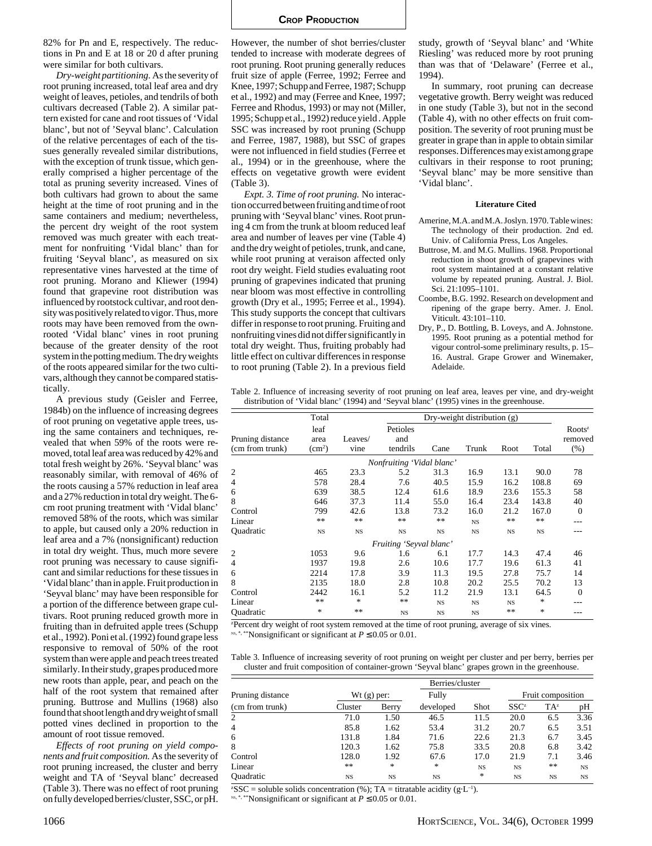82% for Pn and E, respectively. The reductions in Pn and E at 18 or 20 d after pruning were similar for both cultivars.

*Dry-weight partitioning.* As the severity of root pruning increased, total leaf area and dry weight of leaves, petioles, and tendrils of both cultivars decreased (Table 2). A similar pattern existed for cane and root tissues of 'Vidal blanc', but not of 'Seyval blanc'. Calculation of the relative percentages of each of the tissues generally revealed similar distributions, with the exception of trunk tissue, which generally comprised a higher percentage of the total as pruning severity increased. Vines of both cultivars had grown to about the same height at the time of root pruning and in the same containers and medium; nevertheless, the percent dry weight of the root system removed was much greater with each treatment for nonfruiting 'Vidal blanc' than for fruiting 'Seyval blanc', as measured on six representative vines harvested at the time of root pruning. Morano and Kliewer (1994) found that grapevine root distribution was influenced by rootstock cultivar, and root density was positively related to vigor. Thus, more roots may have been removed from the ownrooted 'Vidal blanc' vines in root pruning because of the greater density of the root system in the potting medium. The dry weights of the roots appeared similar for the two cultivars, although they cannot be compared statistically.

A previous study (Geisler and Ferree, 1984b) on the influence of increasing degrees of root pruning on vegetative apple trees, using the same containers and techniques, revealed that when 59% of the roots were removed, total leaf area was reduced by 42% and total fresh weight by 26%. 'Seyval blanc' was reasonably similar, with removal of 46% of the roots causing a 57% reduction in leaf area and a 27% reduction in total dry weight. The 6 cm root pruning treatment with 'Vidal blanc' removed 58% of the roots, which was similar to apple, but caused only a 20% reduction in leaf area and a 7% (nonsignificant) reduction in total dry weight. Thus, much more severe root pruning was necessary to cause significant and similar reductions for these tissues in 'Vidal blanc' than in apple. Fruit production in 'Seyval blanc' may have been responsible for a portion of the difference between grape cultivars. Root pruning reduced growth more in fruiting than in defruited apple trees (Schupp et al., 1992). Poni et al. (1992) found grape less responsive to removal of 50% of the root system than were apple and peach trees treated similarly. In their study, grapes produced more new roots than apple, pear, and peach on the half of the root system that remained after pruning. Buttrose and Mullins (1968) also found that shoot length and dry weight of small potted vines declined in proportion to the amount of root tissue removed.

*Effects of root pruning on yield components and fruit composition.* As the severity of root pruning increased, the cluster and berry weight and TA of 'Seyval blanc' decreased (Table 3). There was no effect of root pruning on fully developed berries/cluster, SSC, or pH. However, the number of shot berries/cluster tended to increase with moderate degrees of root pruning. Root pruning generally reduces fruit size of apple (Ferree, 1992; Ferree and Knee, 1997; Schupp and Ferree, 1987; Schupp et al., 1992) and may (Ferree and Knee, 1997; Ferree and Rhodus, 1993) or may not (Miller, 1995; Schupp et al., 1992) reduce yield . Apple SSC was increased by root pruning (Schupp and Ferree, 1987, 1988), but SSC of grapes were not influenced in field studies (Ferree et al., 1994) or in the greenhouse, where the effects on vegetative growth were evident (Table 3).

*Expt. 3. Time of root pruning.* No interaction occurred between fruiting and time of root pruning with 'Seyval blanc' vines. Root pruning 4 cm from the trunk at bloom reduced leaf area and number of leaves per vine (Table 4) and the dry weight of petioles, trunk, and cane, while root pruning at veraison affected only root dry weight. Field studies evaluating root pruning of grapevines indicated that pruning near bloom was most effective in controlling growth (Dry et al., 1995; Ferree et al., 1994). This study supports the concept that cultivars differ in response to root pruning. Fruiting and nonfruiting vines did not differ significantly in total dry weight. Thus, fruiting probably had little effect on cultivar differences in response to root pruning (Table 2). In a previous field

study, growth of 'Seyval blanc' and 'White Riesling' was reduced more by root pruning than was that of 'Delaware' (Ferree et al., 1994).

In summary, root pruning can decrease vegetative growth. Berry weight was reduced in one study (Table 3), but not in the second (Table 4), with no other effects on fruit composition. The severity of root pruning must be greater in grape than in apple to obtain similar responses. Differences may exist among grape cultivars in their response to root pruning; 'Seyval blanc' may be more sensitive than 'Vidal blanc'.

#### **Literature Cited**

- Amerine, M.A. and M.A. Joslyn. 1970. Table wines: The technology of their production. 2nd ed. Univ. of California Press, Los Angeles.
- Buttrose, M. and M.G. Mullins. 1968. Proportional reduction in shoot growth of grapevines with root system maintained at a constant relative volume by repeated pruning. Austral. J. Biol. Sci. 21:1095–1101.
- Coombe, B.G. 1992. Research on development and ripening of the grape berry. Amer. J. Enol. Viticult. 43:101–110.
- Dry, P., D. Bottling, B. Loveys, and A. Johnstone. 1995. Root pruning as a potential method for vigour control-some preliminary results, p. 15– 16. Austral. Grape Grower and Winemaker, Adelaide.

Table 2. Influence of increasing severity of root pruning on leaf area, leaves per vine, and dry-weight distribution of 'Vidal blanc' (1994) and 'Seyval blanc' (1995) vines in the greenhouse.

|                  | Total        |             |                           |             | $Dry-weight distribution(g)$ |           |             |                      |
|------------------|--------------|-------------|---------------------------|-------------|------------------------------|-----------|-------------|----------------------|
| Pruning distance | leaf<br>area | Leaves/     | Petioles<br>and           |             |                              |           |             | $Roots^z$<br>removed |
| (cm from trunk)  | $\rm (cm^2)$ | vine        | tendrils                  | Cane        | Trunk                        | Root      | Total       | $(\% )$              |
|                  |              |             | Nonfruiting 'Vidal blanc' |             |                              |           |             |                      |
| 2                | 465          | 23.3        | 5.2                       | 31.3        | 16.9                         | 13.1      | 90.0        | 78                   |
| 4                | 578          | 28.4        | 7.6                       | 40.5        | 15.9                         | 16.2      | 108.8       | 69                   |
| 6                | 639          | 38.5        | 12.4                      | 61.6        | 18.9                         | 23.6      | 155.3       | 58                   |
| 8                | 646          | 37.3        | 11.4                      | 55.0        | 16.4                         | 23.4      | 143.8       | 40                   |
| Control          | 799          | 42.6        | 13.8                      | 73.2        | 16.0                         | 21.2      | 167.0       | $\theta$             |
| Linear           | **           | **          | **                        | **          | <b>NS</b>                    | **        | **          |                      |
| Quadratic        | <b>NS</b>    | $_{\rm NS}$ | $_{\rm NS}$               | $_{\rm NS}$ | $_{\rm NS}$                  | <b>NS</b> | $_{\rm NS}$ |                      |
|                  |              |             | Fruiting 'Seyval blanc'   |             |                              |           |             |                      |
| $\overline{2}$   | 1053         | 9.6         | 1.6                       | 6.1         | 17.7                         | 14.3      | 47.4        | 46                   |
| $\overline{4}$   | 1937         | 19.8        | 2.6                       | 10.6        | 17.7                         | 19.6      | 61.3        | 41                   |
| 6                | 2214         | 17.8        | 3.9                       | 11.3        | 19.5                         | 27.8      | 75.7        | 14                   |
| 8                | 2135         | 18.0        | 2.8                       | 10.8        | 20.2                         | 25.5      | 70.2        | 13                   |
| Control          | 2442         | 16.1        | 5.2                       | 11.2        | 21.9                         | 13.1      | 64.5        | $\theta$             |
| Linear           | **           | *           | **                        | $_{\rm NS}$ | <b>NS</b>                    | <b>NS</b> | *           |                      |
| <b>Quadratic</b> | ×.           | **          | $_{\rm NS}$               | <b>NS</b>   | <b>NS</b>                    | **        | $\ast$      |                      |

z Percent dry weight of root system removed at the time of root pruning, average of six vines. <sup>NS, \*, \*\*</sup>Nonsignificant or significant at *P* ≤ 0.05 or 0.01.

Table 3. Influence of increasing severity of root pruning on weight per cluster and per berry, berries per cluster and fruit composition of container-grown 'Seyval blanc' grapes grown in the greenhouse.

|                  |           |              | Berries/cluster |      |                   |           |           |  |
|------------------|-----------|--------------|-----------------|------|-------------------|-----------|-----------|--|
| Pruning distance |           | $Wt(g)$ per: | Fully           |      | Fruit composition |           |           |  |
| (cm from trunk)  | Cluster   | Berry        | developed       | Shot | SSC <sub>z</sub>  | $TA^z$    | pН        |  |
| $\overline{2}$   | 71.0      | 1.50         | 46.5            | 11.5 | 20.0              | 6.5       | 3.36      |  |
| $\overline{4}$   | 85.8      | 1.62         | 53.4            | 31.2 | 20.7              | 6.5       | 3.51      |  |
| 6                | 131.8     | 1.84         | 71.6            | 22.6 | 21.3              | 6.7       | 3.45      |  |
| 8                | 120.3     | 1.62         | 75.8            | 33.5 | 20.8              | 6.8       | 3.42      |  |
| Control          | 128.0     | 1.92         | 67.6            | 17.0 | 21.9              | 7.1       | 3.46      |  |
| Linear           | **        | $\ast$       | $*$             | NS.  | <b>NS</b>         | $* *$     | <b>NS</b> |  |
| <b>Ouadratic</b> | <b>NS</b> | <b>NS</b>    | <b>NS</b>       | $*$  | <b>NS</b>         | <b>NS</b> | <b>NS</b> |  |

<sup>z</sup>SSC = soluble solids concentration (%); TA = titratable acidity (g·L<sup>-1</sup>).

<sup>NS, \*, \*\*</sup>Nonsignificant or significant at  $P \le 0.05$  or 0.01.